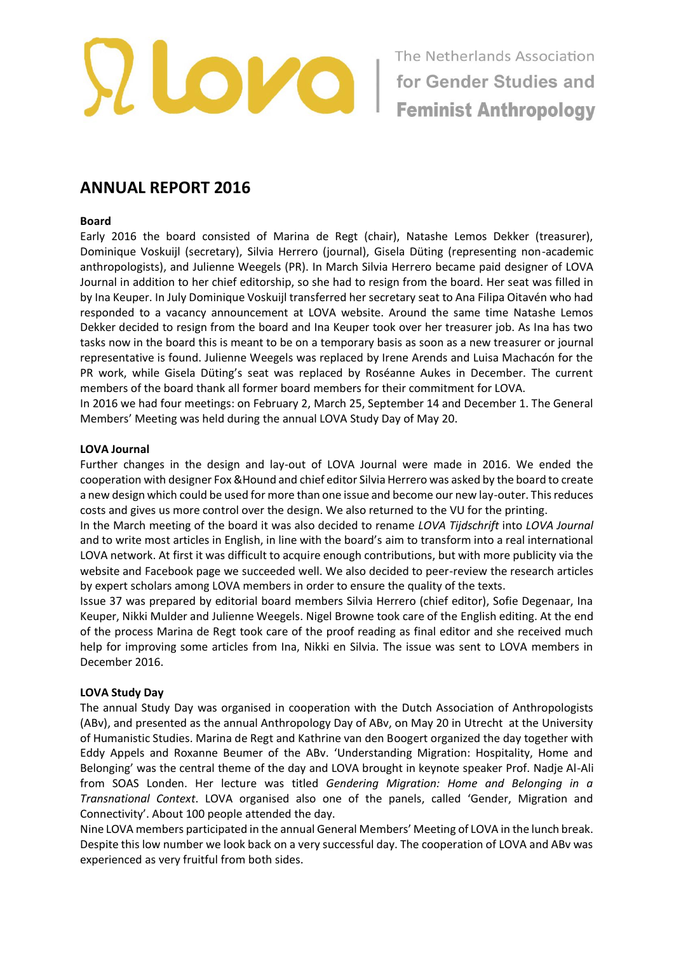

# **ANNUAL REPORT 2016**

#### **Board**

Early 2016 the board consisted of Marina de Regt (chair), Natashe Lemos Dekker (treasurer), Dominique Voskuijl (secretary), Silvia Herrero (journal), Gisela Düting (representing non-academic anthropologists), and Julienne Weegels (PR). In March Silvia Herrero became paid designer of LOVA Journal in addition to her chief editorship, so she had to resign from the board. Her seat was filled in by Ina Keuper. In July Dominique Voskuijl transferred her secretary seat to Ana Filipa Oitavén who had responded to a vacancy announcement at LOVA website. Around the same time Natashe Lemos Dekker decided to resign from the board and Ina Keuper took over her treasurer job. As Ina has two tasks now in the board this is meant to be on a temporary basis as soon as a new treasurer or journal representative is found. Julienne Weegels was replaced by Irene Arends and Luisa Machacón for the PR work, while Gisela Düting's seat was replaced by Roséanne Aukes in December. The current members of the board thank all former board members for their commitment for LOVA.

In 2016 we had four meetings: on February 2, March 25, September 14 and December 1. The General Members' Meeting was held during the annual LOVA Study Day of May 20.

#### **LOVA Journal**

Further changes in the design and lay-out of LOVA Journal were made in 2016. We ended the cooperation with designer Fox &Hound and chief editor Silvia Herrero was asked by the board to create a new design which could be used for more than one issue and become our new lay-outer. This reduces costs and gives us more control over the design. We also returned to the VU for the printing.

In the March meeting of the board it was also decided to rename *LOVA Tijdschrift* into *LOVA Journal* and to write most articles in English, in line with the board's aim to transform into a real international LOVA network. At first it was difficult to acquire enough contributions, but with more publicity via the website and Facebook page we succeeded well. We also decided to peer-review the research articles by expert scholars among LOVA members in order to ensure the quality of the texts.

Issue 37 was prepared by editorial board members Silvia Herrero (chief editor), Sofie Degenaar, Ina Keuper, Nikki Mulder and Julienne Weegels. Nigel Browne took care of the English editing. At the end of the process Marina de Regt took care of the proof reading as final editor and she received much help for improving some articles from Ina, Nikki en Silvia. The issue was sent to LOVA members in December 2016.

# **LOVA Study Day**

The annual Study Day was organised in cooperation with the Dutch Association of Anthropologists (ABv), and presented as the annual Anthropology Day of ABv, on May 20 in Utrecht at the University of Humanistic Studies. Marina de Regt and Kathrine van den Boogert organized the day together with Eddy Appels and Roxanne Beumer of the ABv. 'Understanding Migration: Hospitality, Home and Belonging' was the central theme of the day and LOVA brought in keynote speaker Prof. Nadje Al-Ali from SOAS Londen. Her lecture was titled *Gendering Migration: Home and Belonging in a Transnational Context*. LOVA organised also one of the panels, called 'Gender, Migration and Connectivity'. About 100 people attended the day.

Nine LOVA members participated in the annual General Members' Meeting of LOVA in the lunch break. Despite this low number we look back on a very successful day. The cooperation of LOVA and ABv was experienced as very fruitful from both sides.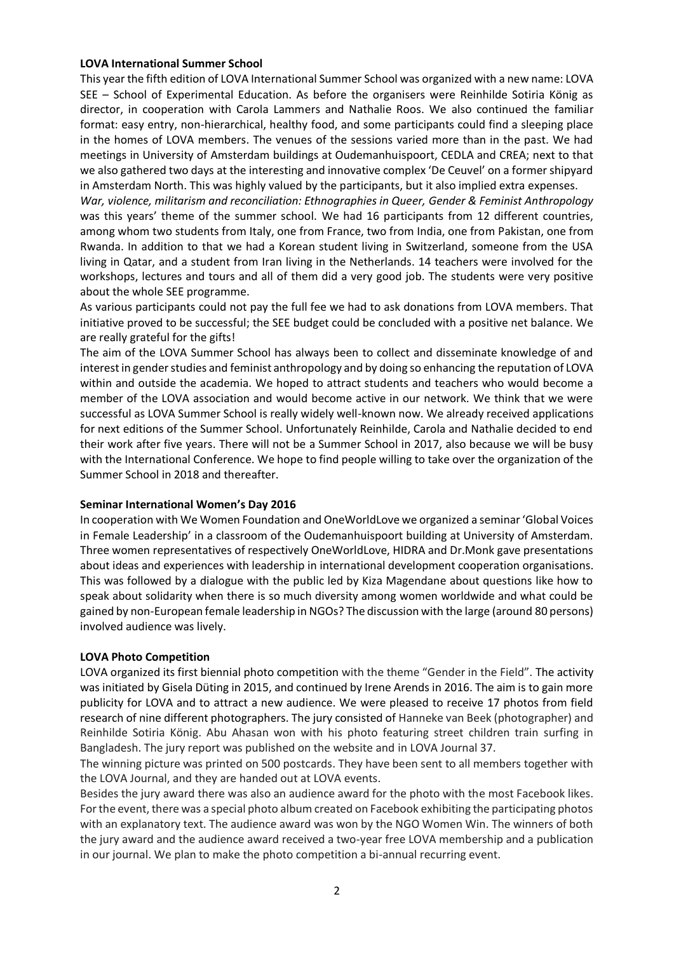## **LOVA International Summer School**

This year the fifth edition of LOVA International Summer School was organized with a new name: LOVA SEE – School of Experimental Education. As before the organisers were Reinhilde Sotiria König as director, in cooperation with Carola Lammers and Nathalie Roos. We also continued the familiar format: easy entry, non-hierarchical, healthy food, and some participants could find a sleeping place in the homes of LOVA members. The venues of the sessions varied more than in the past. We had meetings in University of Amsterdam buildings at Oudemanhuispoort, CEDLA and CREA; next to that we also gathered two days at the interesting and innovative complex 'De Ceuvel' on a former shipyard in Amsterdam North. This was highly valued by the participants, but it also implied extra expenses.

*War, violence, militarism and reconciliation: Ethnographies in Queer, Gender & Feminist Anthropology* was this years' theme of the summer school. We had 16 participants from 12 different countries, among whom two students from Italy, one from France, two from India, one from Pakistan, one from Rwanda. In addition to that we had a Korean student living in Switzerland, someone from the USA living in Qatar, and a student from Iran living in the Netherlands. 14 teachers were involved for the workshops, lectures and tours and all of them did a very good job. The students were very positive about the whole SEE programme.

As various participants could not pay the full fee we had to ask donations from LOVA members. That initiative proved to be successful; the SEE budget could be concluded with a positive net balance. We are really grateful for the gifts!

The aim of the LOVA Summer School has always been to collect and disseminate knowledge of and interest in gender studies and feminist anthropology and by doing so enhancing the reputation of LOVA within and outside the academia. We hoped to attract students and teachers who would become a member of the LOVA association and would become active in our network. We think that we were successful as LOVA Summer School is really widely well-known now. We already received applications for next editions of the Summer School. Unfortunately Reinhilde, Carola and Nathalie decided to end their work after five years. There will not be a Summer School in 2017, also because we will be busy with the International Conference. We hope to find people willing to take over the organization of the Summer School in 2018 and thereafter.

# **Seminar International Women's Day 2016**

In cooperation with We Women Foundation and OneWorldLove we organized a seminar 'Global Voices in Female Leadership' in a classroom of the Oudemanhuispoort building at University of Amsterdam. Three women representatives of respectively OneWorldLove, HIDRA and Dr.Monk gave presentations about ideas and experiences with leadership in international development cooperation organisations. This was followed by a dialogue with the public led by Kiza Magendane about questions like how to speak about solidarity when there is so much diversity among women worldwide and what could be gained by non-European female leadership in NGOs? The discussion with the large (around 80 persons) involved audience was lively.

# **LOVA Photo Competition**

LOVA organized its first biennial photo competition with the theme "Gender in the Field". The activity was initiated by Gisela Düting in 2015, and continued by Irene Arends in 2016. The aim is to gain more publicity for LOVA and to attract a new audience. We were pleased to receive 17 photos from field research of nine different photographers. The jury consisted of Hanneke van Beek (photographer) and Reinhilde Sotiria König. Abu Ahasan won with his photo featuring street children train surfing in Bangladesh. The jury report was published on the website and in LOVA Journal 37.

The winning picture was printed on 500 postcards. They have been sent to all members together with the LOVA Journal, and they are handed out at LOVA events.

Besides the jury award there was also an audience award for the photo with the most Facebook likes. For the event, there was a special photo album created on Facebook exhibiting the participating photos with an explanatory text. The audience award was won by the NGO Women Win. The winners of both the jury award and the audience award received a two-year free LOVA membership and a publication in our journal. We plan to make the photo competition a bi-annual recurring event.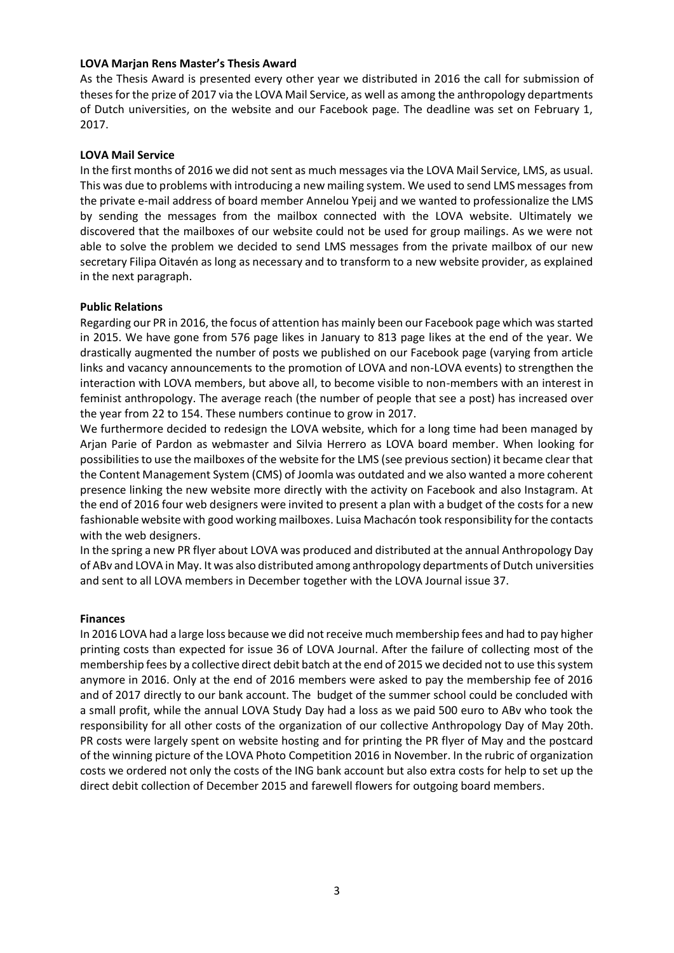# **LOVA Marjan Rens Master's Thesis Award**

As the Thesis Award is presented every other year we distributed in 2016 the call for submission of theses for the prize of 2017 via the LOVA Mail Service, as well as among the anthropology departments of Dutch universities, on the website and our Facebook page. The deadline was set on February 1, 2017.

#### **LOVA Mail Service**

In the first months of 2016 we did not sent as much messages via the LOVA Mail Service, LMS, as usual. This was due to problems with introducing a new mailing system. We used to send LMS messages from the private e-mail address of board member Annelou Ypeij and we wanted to professionalize the LMS by sending the messages from the mailbox connected with the LOVA website. Ultimately we discovered that the mailboxes of our website could not be used for group mailings. As we were not able to solve the problem we decided to send LMS messages from the private mailbox of our new secretary Filipa Oitavén as long as necessary and to transform to a new website provider, as explained in the next paragraph.

#### **Public Relations**

Regarding our PR in 2016, the focus of attention has mainly been our Facebook page which was started in 2015. We have gone from 576 page likes in January to 813 page likes at the end of the year. We drastically augmented the number of posts we published on our Facebook page (varying from article links and vacancy announcements to the promotion of LOVA and non-LOVA events) to strengthen the interaction with LOVA members, but above all, to become visible to non-members with an interest in feminist anthropology. The average reach (the number of people that see a post) has increased over the year from 22 to 154. These numbers continue to grow in 2017.

We furthermore decided to redesign the LOVA website, which for a long time had been managed by Arjan Parie of Pardon as webmaster and Silvia Herrero as LOVA board member. When looking for possibilities to use the mailboxes of the website for the LMS (see previous section) it became clear that the Content Management System (CMS) of Joomla was outdated and we also wanted a more coherent presence linking the new website more directly with the activity on Facebook and also Instagram. At the end of 2016 four web designers were invited to present a plan with a budget of the costs for a new fashionable website with good working mailboxes. Luisa Machacón took responsibility for the contacts with the web designers.

In the spring a new PR flyer about LOVA was produced and distributed at the annual Anthropology Day of ABv and LOVA in May. It was also distributed among anthropology departments of Dutch universities and sent to all LOVA members in December together with the LOVA Journal issue 37.

#### **Finances**

In 2016 LOVA had a large loss because we did not receive much membership fees and had to pay higher printing costs than expected for issue 36 of LOVA Journal. After the failure of collecting most of the membership fees by a collective direct debit batch at the end of 2015 we decided not to use this system anymore in 2016. Only at the end of 2016 members were asked to pay the membership fee of 2016 and of 2017 directly to our bank account. The budget of the summer school could be concluded with a small profit, while the annual LOVA Study Day had a loss as we paid 500 euro to ABv who took the responsibility for all other costs of the organization of our collective Anthropology Day of May 20th. PR costs were largely spent on website hosting and for printing the PR flyer of May and the postcard of the winning picture of the LOVA Photo Competition 2016 in November. In the rubric of organization costs we ordered not only the costs of the ING bank account but also extra costs for help to set up the direct debit collection of December 2015 and farewell flowers for outgoing board members.